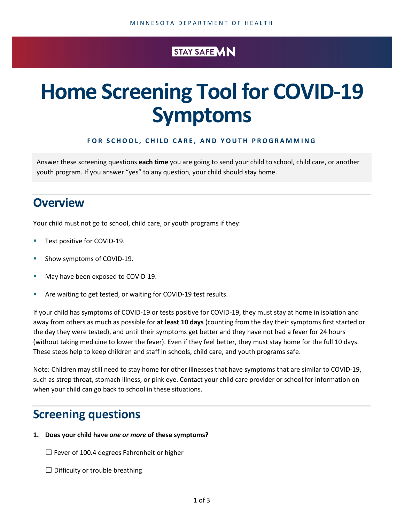## STAY SAFE MN

# **Home Screening Tool for COVID-19 Symptoms**

#### **FOR SCHOOL, CHILD CARE, AND YOUTH PROGRAMMING**

Answer these screening questions **each time** you are going to send your child to school, child care, or another youth program. If you answer "yes" to any question, your child should stay home.

## **Overview**

Your child must not go to school, child care, or youth programs if they:

- **Test positive for COVID-19.**
- **Show symptoms of COVID-19.**
- May have been exposed to COVID-19.
- **Are waiting to get tested, or waiting for COVID-19 test results.**

If your child has symptoms of COVID-19 or tests positive for COVID-19, they must stay at home in isolation and away from others as much as possible for **at least 10 days** (counting from the day their symptoms first started or the day they were tested), and until their symptoms get better and they have not had a fever for 24 hours (without taking medicine to lower the fever). Even if they feel better, they must stay home for the full 10 days. These steps help to keep children and staff in schools, child care, and youth programs safe.

Note: Children may still need to stay home for other illnesses that have symptoms that are similar to COVID-19, such as strep throat, stomach illness, or pink eye. Contact your child care provider or school for information on when your child can go back to school in these situations.

# **Screening questions**

#### **1. Does your child have** *one or more* **of these symptoms?**

 $\Box$  Fever of 100.4 degrees Fahrenheit or higher

 $\Box$  Difficulty or trouble breathing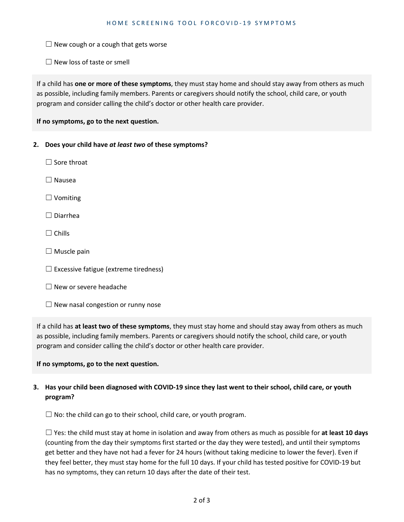$\Box$  New cough or a cough that gets worse

 $\Box$  New loss of taste or smell

If a child has **one or more of these symptoms**, they must stay home and should stay away from others as much as possible, including family members. Parents or caregivers should notify the school, child care, or youth program and consider calling the child's doctor or other health care provider.

**If no symptoms, go to the next question.**

#### **2. Does your child have** *at least two* **of these symptoms?**

- $\Box$  Sore throat
- ☐ Nausea
- ☐ Vomiting
- ☐ Diarrhea
- $\Box$  Chills
- $\Box$  Muscle pain
- $\Box$  Excessive fatigue (extreme tiredness)
- ☐ New or severe headache
- $\Box$  New nasal congestion or runny nose

If a child has **at least two of these symptoms**, they must stay home and should stay away from others as much as possible, including family members. Parents or caregivers should notify the school, child care, or youth program and consider calling the child's doctor or other health care provider.

#### **If no symptoms, go to the next question.**

### **3. Has your child been diagnosed with COVID-19 since they last went to their school, child care, or youth program?**

 $\Box$  No: the child can go to their school, child care, or youth program.

☐ Yes: the child must stay at home in isolation and away from others as much as possible for **at least 10 days** (counting from the day their symptoms first started or the day they were tested), and until their symptoms get better and they have not had a fever for 24 hours (without taking medicine to lower the fever). Even if they feel better, they must stay home for the full 10 days. If your child has tested positive for COVID-19 but has no symptoms, they can return 10 days after the date of their test.